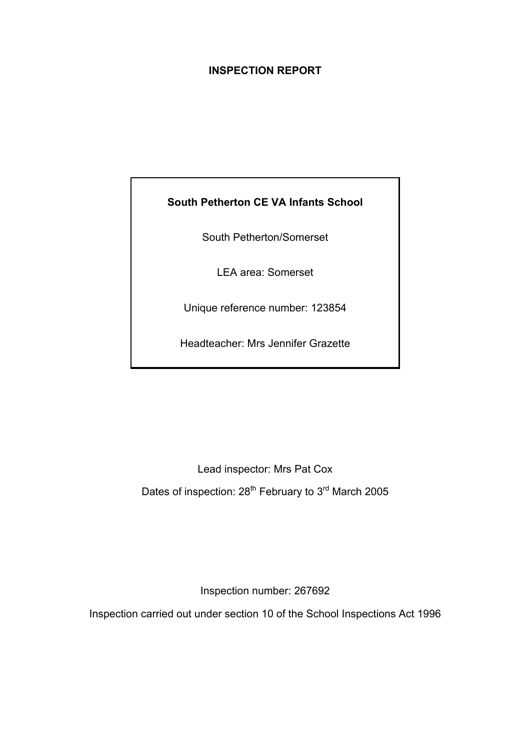# **INSPECTION REPORT**

# **South Petherton CE VA Infants School**

South Petherton/Somerset

LEA area: Somerset

Unique reference number: 123854

Headteacher: Mrs Jennifer Grazette

Lead inspector: Mrs Pat Cox Dates of inspection: 28<sup>th</sup> February to 3<sup>rd</sup> March 2005

Inspection number: 267692

Inspection carried out under section 10 of the School Inspections Act 1996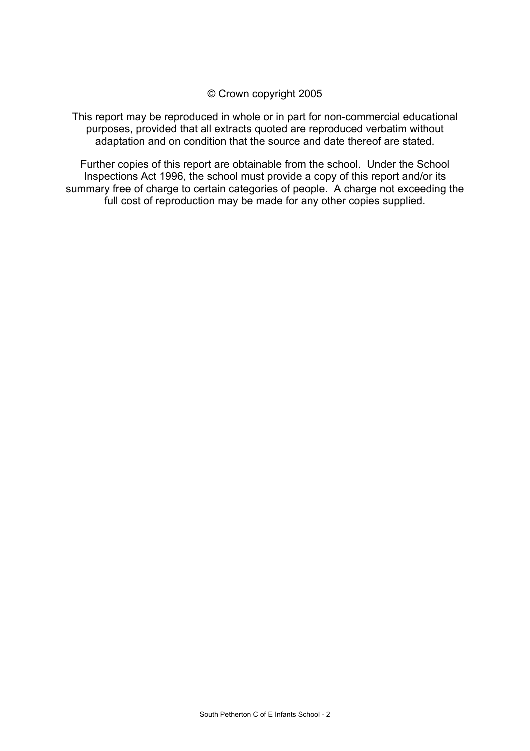© Crown copyright 2005

This report may be reproduced in whole or in part for non-commercial educational purposes, provided that all extracts quoted are reproduced verbatim without adaptation and on condition that the source and date thereof are stated.

Further copies of this report are obtainable from the school. Under the School Inspections Act 1996, the school must provide a copy of this report and/or its summary free of charge to certain categories of people. A charge not exceeding the full cost of reproduction may be made for any other copies supplied.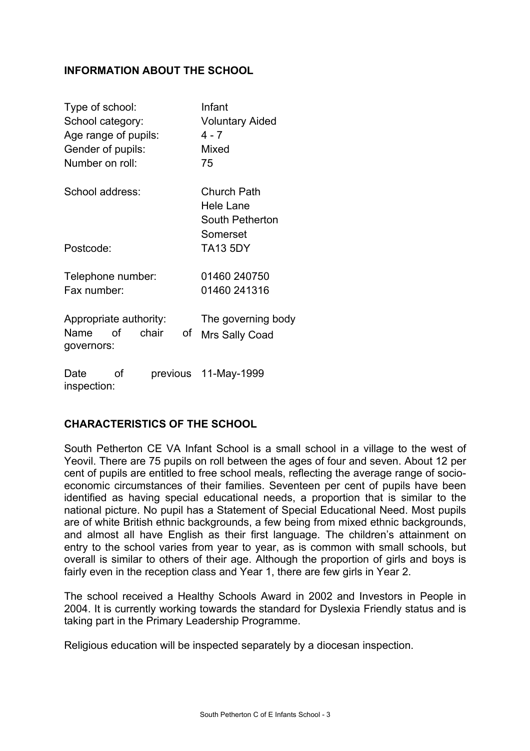# **INFORMATION ABOUT THE SCHOOL**

| Type of school:<br>School category:<br>Age range of pupils:<br>Gender of pupils: | Infant<br><b>Voluntary Aided</b><br>$4 - 7$<br>Mixed           |  |  |
|----------------------------------------------------------------------------------|----------------------------------------------------------------|--|--|
| Number on roll:                                                                  | 75                                                             |  |  |
| School address:                                                                  | <b>Church Path</b><br>Hele Lane<br>South Petherton<br>Somerset |  |  |
| Postcode:                                                                        | <b>TA13 5DY</b>                                                |  |  |
| Telephone number:<br>Fax number:                                                 | 01460 240750<br>01460 241316                                   |  |  |
| Appropriate authority:<br>οf<br>chair<br>Name<br>of<br>governors:                | The governing body<br>Mrs Sally Coad                           |  |  |
| Date<br>Ωf<br>inspection:                                                        | previous 11-May-1999                                           |  |  |

# **CHARACTERISTICS OF THE SCHOOL**

South Petherton CE VA Infant School is a small school in a village to the west of Yeovil. There are 75 pupils on roll between the ages of four and seven. About 12 per cent of pupils are entitled to free school meals, reflecting the average range of socioeconomic circumstances of their families. Seventeen per cent of pupils have been identified as having special educational needs, a proportion that is similar to the national picture. No pupil has a Statement of Special Educational Need. Most pupils are of white British ethnic backgrounds, a few being from mixed ethnic backgrounds, and almost all have English as their first language. The children's attainment on entry to the school varies from year to year, as is common with small schools, but overall is similar to others of their age. Although the proportion of girls and boys is fairly even in the reception class and Year 1, there are few girls in Year 2.

The school received a Healthy Schools Award in 2002 and Investors in People in 2004. It is currently working towards the standard for Dyslexia Friendly status and is taking part in the Primary Leadership Programme.

Religious education will be inspected separately by a diocesan inspection.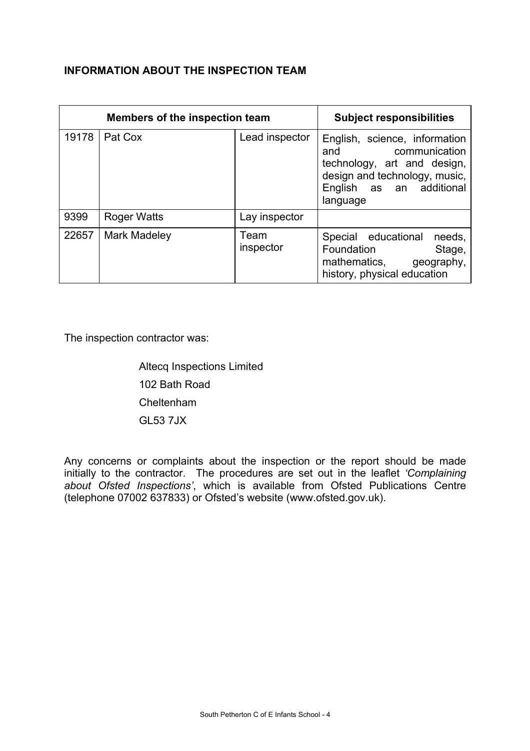# **INFORMATION ABOUT THE INSPECTION TEAM**

| Members of the inspection team |                    |                   | <b>Subject responsibilities</b>                                                                                                                            |
|--------------------------------|--------------------|-------------------|------------------------------------------------------------------------------------------------------------------------------------------------------------|
| 19178                          | Pat Cox            | Lead inspector    | English, science, information<br>and communication<br>technology, art and design,<br>design and technology, music,<br>English as an additional<br>language |
| 9399                           | <b>Roger Watts</b> | Lay inspector     |                                                                                                                                                            |
| 22657                          | Mark Madeley       | Team<br>inspector | Special educational<br>needs,<br>Foundation<br>Stage,<br>mathematics, geography,<br>history, physical education                                            |

The inspection contractor was:

 Altecq Inspections Limited 102 Bath Road Cheltenham GL53 7JX

Any concerns or complaints about the inspection or the report should be made initially to the contractor. The procedures are set out in the leaflet *'Complaining*  about Ofsted Inspections', which is available from Ofsted Publications Centre (telephone 07002 637833) or Ofsted's website (www.ofsted.gov.uk).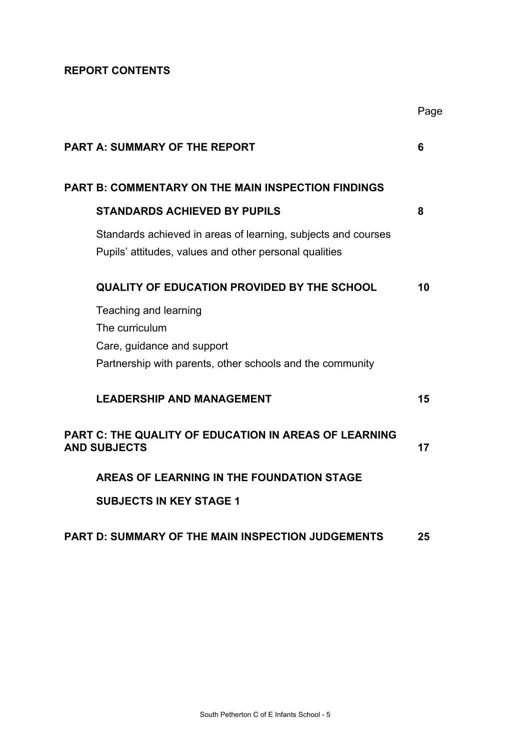# **REPORT CONTENTS**

|                                                                                                                         | Page |
|-------------------------------------------------------------------------------------------------------------------------|------|
| <b>PART A: SUMMARY OF THE REPORT</b>                                                                                    | 6    |
| <b>PART B: COMMENTARY ON THE MAIN INSPECTION FINDINGS</b>                                                               |      |
| <b>STANDARDS ACHIEVED BY PUPILS</b>                                                                                     | 8    |
| Standards achieved in areas of learning, subjects and courses<br>Pupils' attitudes, values and other personal qualities |      |
| <b>QUALITY OF EDUCATION PROVIDED BY THE SCHOOL</b>                                                                      | 10   |
| Teaching and learning                                                                                                   |      |
| The curriculum                                                                                                          |      |
| Care, guidance and support                                                                                              |      |
| Partnership with parents, other schools and the community                                                               |      |
| <b>LEADERSHIP AND MANAGEMENT</b>                                                                                        | 15   |
| <b>PART C: THE QUALITY OF EDUCATION IN AREAS OF LEARNING</b>                                                            |      |
| <b>AND SUBJECTS</b>                                                                                                     | 17   |
| AREAS OF LEARNING IN THE FOUNDATION STAGE                                                                               |      |
| <b>SUBJECTS IN KEY STAGE 1</b>                                                                                          |      |
| <b>PART D: SUMMARY OF THE MAIN INSPECTION JUDGEMENTS</b>                                                                | 25   |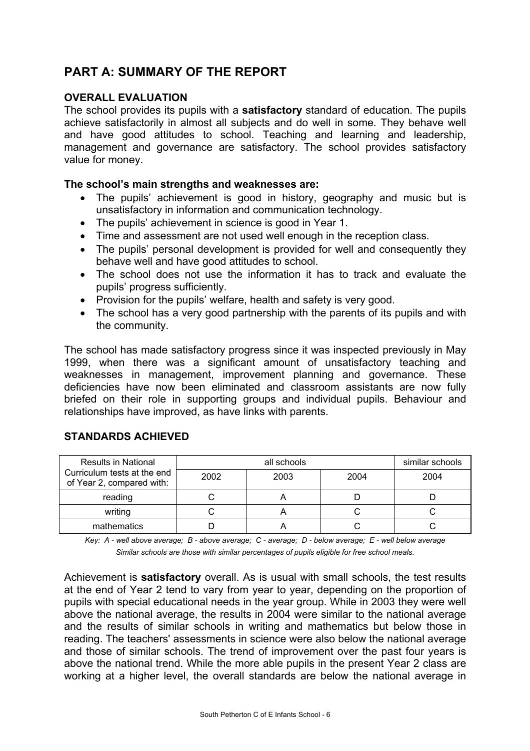# **PART A: SUMMARY OF THE REPORT**

## **OVERALL EVALUATION**

The school provides its pupils with a **satisfactory** standard of education. The pupils achieve satisfactorily in almost all subjects and do well in some. They behave well and have good attitudes to school. Teaching and learning and leadership, management and governance are satisfactory. The school provides satisfactory value for money.

#### **The school's main strengths and weaknesses are:**

- The pupils' achievement is good in history, geography and music but is unsatisfactory in information and communication technology.
- The pupils' achievement in science is good in Year 1.
- Time and assessment are not used well enough in the reception class.
- The pupils' personal development is provided for well and consequently they behave well and have good attitudes to school.
- The school does not use the information it has to track and evaluate the pupils' progress sufficiently.
- Provision for the pupils' welfare, health and safety is very good.
- The school has a very good partnership with the parents of its pupils and with the community.

The school has made satisfactory progress since it was inspected previously in May 1999, when there was a significant amount of unsatisfactory teaching and weaknesses in management, improvement planning and governance. These deficiencies have now been eliminated and classroom assistants are now fully briefed on their role in supporting groups and individual pupils. Behaviour and relationships have improved, as have links with parents.

# **STANDARDS ACHIEVED**

| <b>Results in National</b>                               |      | similar schools |      |      |
|----------------------------------------------------------|------|-----------------|------|------|
| Curriculum tests at the end<br>of Year 2, compared with: | 2002 | 2003            | 2004 | 2004 |
| reading                                                  |      |                 |      |      |
| writing                                                  |      |                 |      |      |
| mathematics                                              |      |                 |      |      |

*Key: A - well above average; B - above average; C - average; D - below average; E - well below average Similar schools are those with similar percentages of pupils eligible for free school meals.* 

Achievement is **satisfactory** overall. As is usual with small schools, the test results at the end of Year 2 tend to vary from year to year, depending on the proportion of pupils with special educational needs in the year group. While in 2003 they were well above the national average, the results in 2004 were similar to the national average and the results of similar schools in writing and mathematics but below those in reading. The teachers' assessments in science were also below the national average and those of similar schools. The trend of improvement over the past four years is above the national trend. While the more able pupils in the present Year 2 class are working at a higher level, the overall standards are below the national average in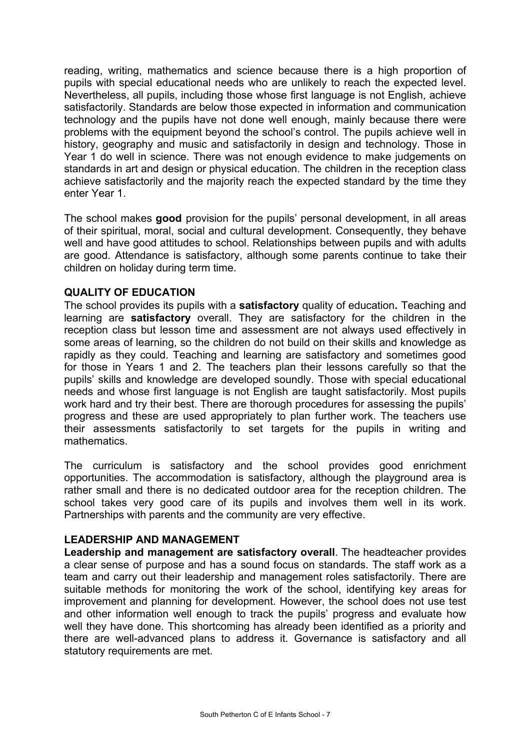reading, writing, mathematics and science because there is a high proportion of pupils with special educational needs who are unlikely to reach the expected level. Nevertheless, all pupils, including those whose first language is not English, achieve satisfactorily. Standards are below those expected in information and communication technology and the pupils have not done well enough, mainly because there were problems with the equipment beyond the school's control. The pupils achieve well in history, geography and music and satisfactorily in design and technology. Those in Year 1 do well in science. There was not enough evidence to make judgements on standards in art and design or physical education. The children in the reception class achieve satisfactorily and the majority reach the expected standard by the time they enter Year 1.

The school makes **good** provision for the pupils' personal development, in all areas of their spiritual, moral, social and cultural development. Consequently, they behave well and have good attitudes to school. Relationships between pupils and with adults are good. Attendance is satisfactory, although some parents continue to take their children on holiday during term time.

## **QUALITY OF EDUCATION**

The school provides its pupils with a **satisfactory** quality of education**.** Teaching and learning are **satisfactory** overall. They are satisfactory for the children in the reception class but lesson time and assessment are not always used effectively in some areas of learning, so the children do not build on their skills and knowledge as rapidly as they could. Teaching and learning are satisfactory and sometimes good for those in Years 1 and 2. The teachers plan their lessons carefully so that the pupils' skills and knowledge are developed soundly. Those with special educational needs and whose first language is not English are taught satisfactorily. Most pupils work hard and try their best. There are thorough procedures for assessing the pupils' progress and these are used appropriately to plan further work. The teachers use their assessments satisfactorily to set targets for the pupils in writing and mathematics.

The curriculum is satisfactory and the school provides good enrichment opportunities. The accommodation is satisfactory, although the playground area is rather small and there is no dedicated outdoor area for the reception children. The school takes very good care of its pupils and involves them well in its work. Partnerships with parents and the community are very effective.

## **LEADERSHIP AND MANAGEMENT**

**Leadership and management are satisfactory overall**. The headteacher provides a clear sense of purpose and has a sound focus on standards. The staff work as a team and carry out their leadership and management roles satisfactorily. There are suitable methods for monitoring the work of the school, identifying key areas for improvement and planning for development. However, the school does not use test and other information well enough to track the pupils' progress and evaluate how well they have done. This shortcoming has already been identified as a priority and there are well-advanced plans to address it. Governance is satisfactory and all statutory requirements are met.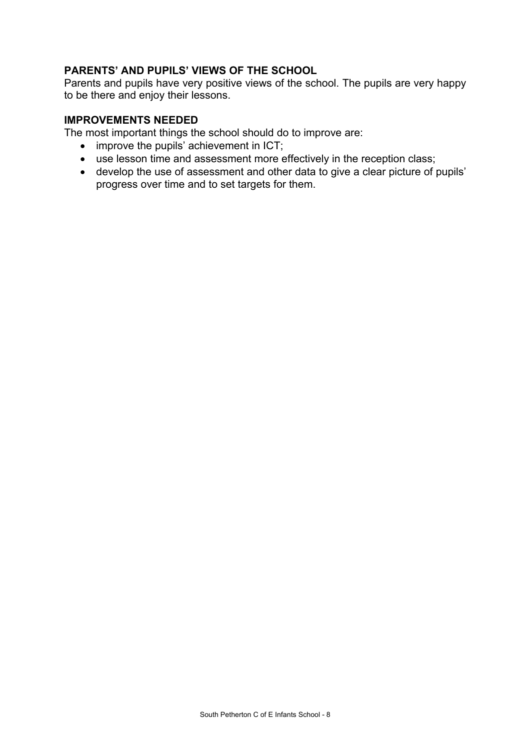# **PARENTS' AND PUPILS' VIEWS OF THE SCHOOL**

Parents and pupils have very positive views of the school. The pupils are very happy to be there and enjoy their lessons.

### **IMPROVEMENTS NEEDED**

The most important things the school should do to improve are:

- improve the pupils' achievement in ICT;
- use lesson time and assessment more effectively in the reception class;
- develop the use of assessment and other data to give a clear picture of pupils' progress over time and to set targets for them.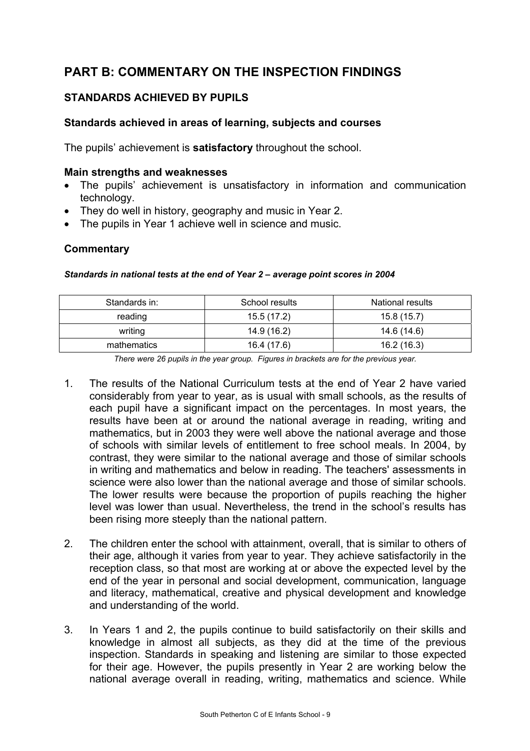# **PART B: COMMENTARY ON THE INSPECTION FINDINGS**

# **STANDARDS ACHIEVED BY PUPILS**

# **Standards achieved in areas of learning, subjects and courses**

The pupils' achievement is **satisfactory** throughout the school.

#### **Main strengths and weaknesses**

- The pupils' achievement is unsatisfactory in information and communication technology.
- They do well in history, geography and music in Year 2.
- The pupils in Year 1 achieve well in science and music.

#### **Commentary**

#### *Standards in national tests at the end of Year 2 – average point scores in 2004*

| Standards in: | School results | National results |
|---------------|----------------|------------------|
| reading       | 15.5(17.2)     | 15.8(15.7)       |
| writing       | 14.9 (16.2)    | 14.6 (14.6)      |
| mathematics   | 16.4 (17.6)    | 16.2 (16.3)      |

*There were 26 pupils in the year group. Figures in brackets are for the previous year.* 

- 1. The results of the National Curriculum tests at the end of Year 2 have varied considerably from year to year, as is usual with small schools, as the results of each pupil have a significant impact on the percentages. In most years, the results have been at or around the national average in reading, writing and mathematics, but in 2003 they were well above the national average and those of schools with similar levels of entitlement to free school meals. In 2004, by contrast, they were similar to the national average and those of similar schools in writing and mathematics and below in reading. The teachers' assessments in science were also lower than the national average and those of similar schools. The lower results were because the proportion of pupils reaching the higher level was lower than usual. Nevertheless, the trend in the school's results has been rising more steeply than the national pattern.
- 2. The children enter the school with attainment, overall, that is similar to others of their age, although it varies from year to year. They achieve satisfactorily in the reception class, so that most are working at or above the expected level by the end of the year in personal and social development, communication, language and literacy, mathematical, creative and physical development and knowledge and understanding of the world.
- 3. In Years 1 and 2, the pupils continue to build satisfactorily on their skills and knowledge in almost all subjects, as they did at the time of the previous inspection. Standards in speaking and listening are similar to those expected for their age. However, the pupils presently in Year 2 are working below the national average overall in reading, writing, mathematics and science. While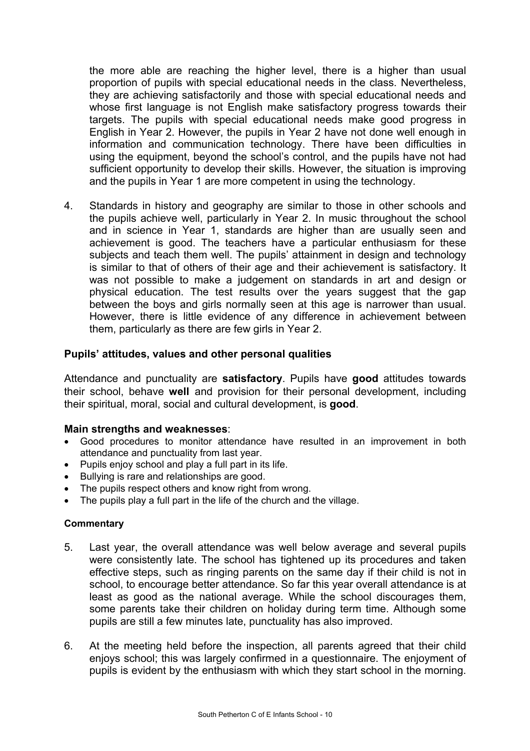the more able are reaching the higher level, there is a higher than usual proportion of pupils with special educational needs in the class. Nevertheless, they are achieving satisfactorily and those with special educational needs and whose first language is not English make satisfactory progress towards their targets. The pupils with special educational needs make good progress in English in Year 2. However, the pupils in Year 2 have not done well enough in information and communication technology. There have been difficulties in using the equipment, beyond the school's control, and the pupils have not had sufficient opportunity to develop their skills. However, the situation is improving and the pupils in Year 1 are more competent in using the technology.

4. Standards in history and geography are similar to those in other schools and the pupils achieve well, particularly in Year 2. In music throughout the school and in science in Year 1, standards are higher than are usually seen and achievement is good. The teachers have a particular enthusiasm for these subjects and teach them well. The pupils' attainment in design and technology is similar to that of others of their age and their achievement is satisfactory. It was not possible to make a judgement on standards in art and design or physical education. The test results over the years suggest that the gap between the boys and girls normally seen at this age is narrower than usual. However, there is little evidence of any difference in achievement between them, particularly as there are few girls in Year 2.

## **Pupils' attitudes, values and other personal qualities**

Attendance and punctuality are **satisfactory**. Pupils have **good** attitudes towards their school, behave **well** and provision for their personal development, including their spiritual, moral, social and cultural development, is **good**.

#### **Main strengths and weaknesses**:

- Good procedures to monitor attendance have resulted in an improvement in both attendance and punctuality from last year.
- Pupils enjoy school and play a full part in its life.
- Bullying is rare and relationships are good.
- The pupils respect others and know right from wrong.
- The pupils play a full part in the life of the church and the village.

- 5. Last year, the overall attendance was well below average and several pupils were consistently late. The school has tightened up its procedures and taken effective steps, such as ringing parents on the same day if their child is not in school, to encourage better attendance. So far this year overall attendance is at least as good as the national average. While the school discourages them, some parents take their children on holiday during term time. Although some pupils are still a few minutes late, punctuality has also improved.
- 6. At the meeting held before the inspection, all parents agreed that their child enjoys school; this was largely confirmed in a questionnaire. The enjoyment of pupils is evident by the enthusiasm with which they start school in the morning.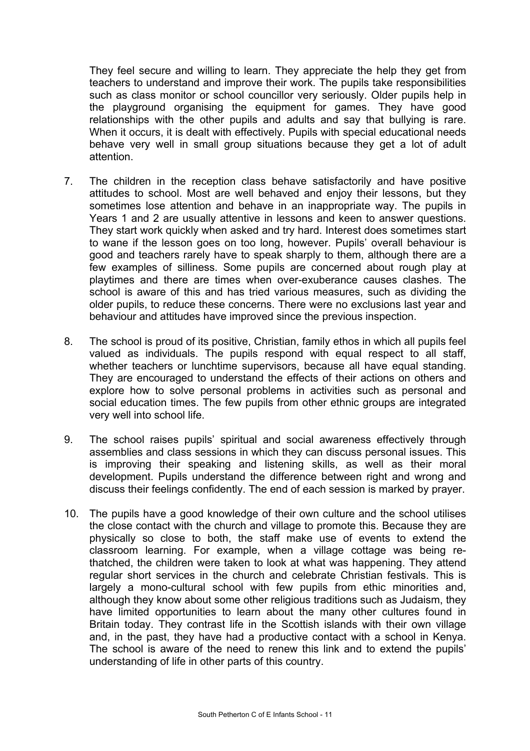They feel secure and willing to learn. They appreciate the help they get from teachers to understand and improve their work. The pupils take responsibilities such as class monitor or school councillor very seriously. Older pupils help in the playground organising the equipment for games. They have good relationships with the other pupils and adults and say that bullying is rare. When it occurs, it is dealt with effectively. Pupils with special educational needs behave very well in small group situations because they get a lot of adult attention.

- 7. The children in the reception class behave satisfactorily and have positive attitudes to school. Most are well behaved and enjoy their lessons, but they sometimes lose attention and behave in an inappropriate way. The pupils in Years 1 and 2 are usually attentive in lessons and keen to answer questions. They start work quickly when asked and try hard. Interest does sometimes start to wane if the lesson goes on too long, however. Pupils' overall behaviour is good and teachers rarely have to speak sharply to them, although there are a few examples of silliness. Some pupils are concerned about rough play at playtimes and there are times when over-exuberance causes clashes. The school is aware of this and has tried various measures, such as dividing the older pupils, to reduce these concerns. There were no exclusions last year and behaviour and attitudes have improved since the previous inspection.
- 8. The school is proud of its positive, Christian, family ethos in which all pupils feel valued as individuals. The pupils respond with equal respect to all staff, whether teachers or lunchtime supervisors, because all have equal standing. They are encouraged to understand the effects of their actions on others and explore how to solve personal problems in activities such as personal and social education times. The few pupils from other ethnic groups are integrated very well into school life.
- 9. The school raises pupils' spiritual and social awareness effectively through assemblies and class sessions in which they can discuss personal issues. This is improving their speaking and listening skills, as well as their moral development. Pupils understand the difference between right and wrong and discuss their feelings confidently. The end of each session is marked by prayer.
- 10. The pupils have a good knowledge of their own culture and the school utilises the close contact with the church and village to promote this. Because they are physically so close to both, the staff make use of events to extend the classroom learning. For example, when a village cottage was being rethatched, the children were taken to look at what was happening. They attend regular short services in the church and celebrate Christian festivals. This is largely a mono-cultural school with few pupils from ethic minorities and, although they know about some other religious traditions such as Judaism, they have limited opportunities to learn about the many other cultures found in Britain today. They contrast life in the Scottish islands with their own village and, in the past, they have had a productive contact with a school in Kenya. The school is aware of the need to renew this link and to extend the pupils' understanding of life in other parts of this country.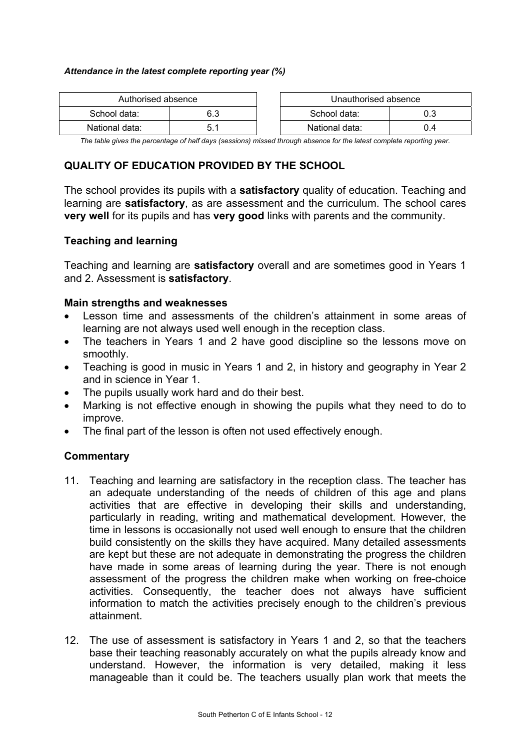#### *Attendance in the latest complete reporting year (%)*

| Authorised absence |     | Unauthorised absence |     |
|--------------------|-----|----------------------|-----|
| School data:       | 6.3 | School data:         |     |
| National data:     |     | National data:       | 0.4 |

*The table gives the percentage of half days (sessions) missed through absence for the latest complete reporting year.* 

# **QUALITY OF EDUCATION PROVIDED BY THE SCHOOL**

The school provides its pupils with a **satisfactory** quality of education. Teaching and learning are **satisfactory**, as are assessment and the curriculum. The school cares **very well** for its pupils and has **very good** links with parents and the community.

## **Teaching and learning**

Teaching and learning are **satisfactory** overall and are sometimes good in Years 1 and 2. Assessment is **satisfactory**.

#### **Main strengths and weaknesses**

- Lesson time and assessments of the children's attainment in some areas of learning are not always used well enough in the reception class.
- The teachers in Years 1 and 2 have good discipline so the lessons move on smoothly.
- Teaching is good in music in Years 1 and 2, in history and geography in Year 2 and in science in Year 1.
- The pupils usually work hard and do their best.
- Marking is not effective enough in showing the pupils what they need to do to improve.
- The final part of the lesson is often not used effectively enough.

- 11. Teaching and learning are satisfactory in the reception class. The teacher has an adequate understanding of the needs of children of this age and plans activities that are effective in developing their skills and understanding, particularly in reading, writing and mathematical development. However, the time in lessons is occasionally not used well enough to ensure that the children build consistently on the skills they have acquired. Many detailed assessments are kept but these are not adequate in demonstrating the progress the children have made in some areas of learning during the year. There is not enough assessment of the progress the children make when working on free-choice activities. Consequently, the teacher does not always have sufficient information to match the activities precisely enough to the children's previous attainment.
- 12. The use of assessment is satisfactory in Years 1 and 2, so that the teachers base their teaching reasonably accurately on what the pupils already know and understand. However, the information is very detailed, making it less manageable than it could be. The teachers usually plan work that meets the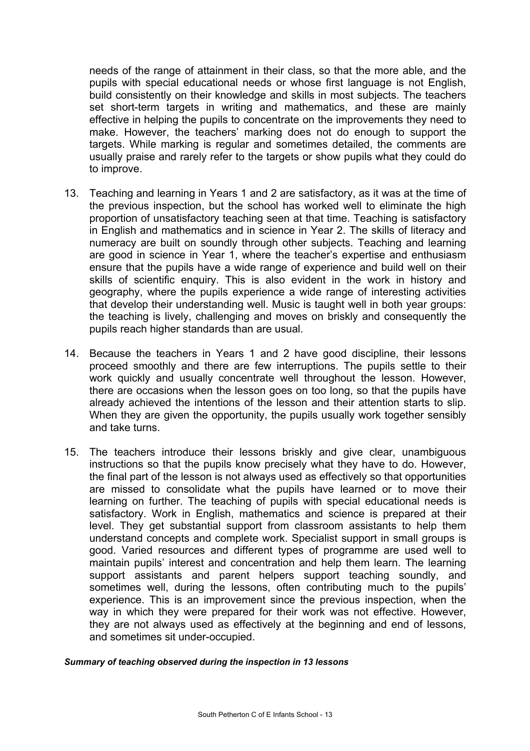needs of the range of attainment in their class, so that the more able, and the pupils with special educational needs or whose first language is not English, build consistently on their knowledge and skills in most subjects. The teachers set short-term targets in writing and mathematics, and these are mainly effective in helping the pupils to concentrate on the improvements they need to make. However, the teachers' marking does not do enough to support the targets. While marking is regular and sometimes detailed, the comments are usually praise and rarely refer to the targets or show pupils what they could do to improve.

- 13. Teaching and learning in Years 1 and 2 are satisfactory, as it was at the time of the previous inspection, but the school has worked well to eliminate the high proportion of unsatisfactory teaching seen at that time. Teaching is satisfactory in English and mathematics and in science in Year 2. The skills of literacy and numeracy are built on soundly through other subjects. Teaching and learning are good in science in Year 1, where the teacher's expertise and enthusiasm ensure that the pupils have a wide range of experience and build well on their skills of scientific enquiry. This is also evident in the work in history and geography, where the pupils experience a wide range of interesting activities that develop their understanding well. Music is taught well in both year groups: the teaching is lively, challenging and moves on briskly and consequently the pupils reach higher standards than are usual.
- 14. Because the teachers in Years 1 and 2 have good discipline, their lessons proceed smoothly and there are few interruptions. The pupils settle to their work quickly and usually concentrate well throughout the lesson. However, there are occasions when the lesson goes on too long, so that the pupils have already achieved the intentions of the lesson and their attention starts to slip. When they are given the opportunity, the pupils usually work together sensibly and take turns.
- 15. The teachers introduce their lessons briskly and give clear, unambiguous instructions so that the pupils know precisely what they have to do. However, the final part of the lesson is not always used as effectively so that opportunities are missed to consolidate what the pupils have learned or to move their learning on further. The teaching of pupils with special educational needs is satisfactory. Work in English, mathematics and science is prepared at their level. They get substantial support from classroom assistants to help them understand concepts and complete work. Specialist support in small groups is good. Varied resources and different types of programme are used well to maintain pupils' interest and concentration and help them learn. The learning support assistants and parent helpers support teaching soundly, and sometimes well, during the lessons, often contributing much to the pupils' experience. This is an improvement since the previous inspection, when the way in which they were prepared for their work was not effective. However, they are not always used as effectively at the beginning and end of lessons, and sometimes sit under-occupied.

#### *Summary of teaching observed during the inspection in 13 lessons*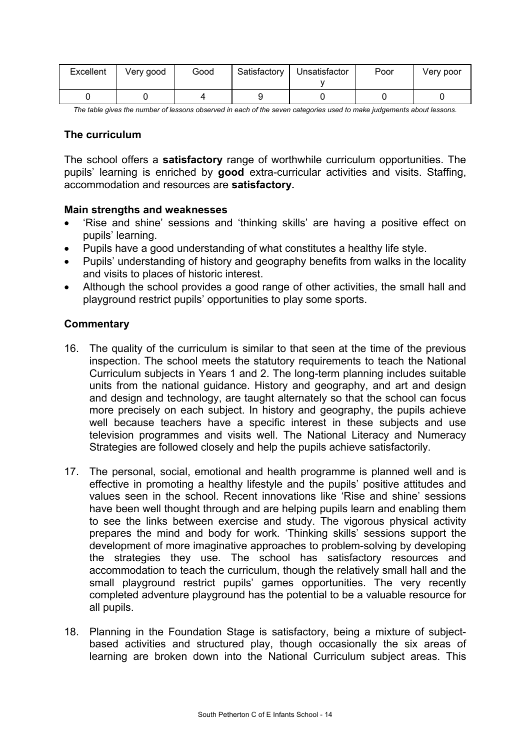| Excellent | Very good | Good | Satisfactory | Unsatisfactor | Poor | Very poor |
|-----------|-----------|------|--------------|---------------|------|-----------|
|           |           |      |              |               |      |           |

*The table gives the number of lessons observed in each of the seven categories used to make judgements about lessons.* 

#### **The curriculum**

The school offers a **satisfactory** range of worthwhile curriculum opportunities. The pupils' learning is enriched by **good** extra-curricular activities and visits. Staffing, accommodation and resources are **satisfactory.**

#### **Main strengths and weaknesses**

- 'Rise and shine' sessions and 'thinking skills' are having a positive effect on pupils' learning.
- Pupils have a good understanding of what constitutes a healthy life style.
- Pupils' understanding of history and geography benefits from walks in the locality and visits to places of historic interest.
- Although the school provides a good range of other activities, the small hall and playground restrict pupils' opportunities to play some sports.

- 16. The quality of the curriculum is similar to that seen at the time of the previous inspection. The school meets the statutory requirements to teach the National Curriculum subjects in Years 1 and 2. The long-term planning includes suitable units from the national guidance. History and geography, and art and design and design and technology, are taught alternately so that the school can focus more precisely on each subject. In history and geography, the pupils achieve well because teachers have a specific interest in these subjects and use television programmes and visits well. The National Literacy and Numeracy Strategies are followed closely and help the pupils achieve satisfactorily.
- 17. The personal, social, emotional and health programme is planned well and is effective in promoting a healthy lifestyle and the pupils' positive attitudes and values seen in the school. Recent innovations like 'Rise and shine' sessions have been well thought through and are helping pupils learn and enabling them to see the links between exercise and study. The vigorous physical activity prepares the mind and body for work. 'Thinking skills' sessions support the development of more imaginative approaches to problem-solving by developing the strategies they use. The school has satisfactory resources and accommodation to teach the curriculum, though the relatively small hall and the small playground restrict pupils' games opportunities. The very recently completed adventure playground has the potential to be a valuable resource for all pupils.
- 18. Planning in the Foundation Stage is satisfactory, being a mixture of subjectbased activities and structured play, though occasionally the six areas of learning are broken down into the National Curriculum subject areas. This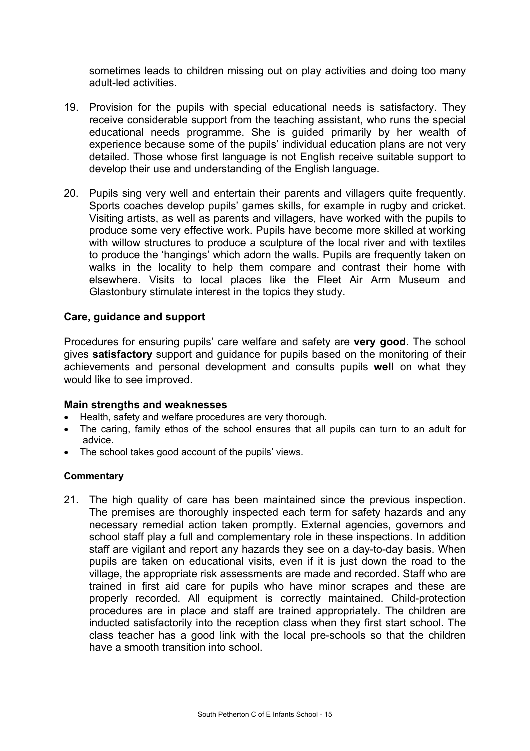sometimes leads to children missing out on play activities and doing too many adult-led activities.

- 19. Provision for the pupils with special educational needs is satisfactory. They receive considerable support from the teaching assistant, who runs the special educational needs programme. She is guided primarily by her wealth of experience because some of the pupils' individual education plans are not very detailed. Those whose first language is not English receive suitable support to develop their use and understanding of the English language.
- 20. Pupils sing very well and entertain their parents and villagers quite frequently. Sports coaches develop pupils' games skills, for example in rugby and cricket. Visiting artists, as well as parents and villagers, have worked with the pupils to produce some very effective work. Pupils have become more skilled at working with willow structures to produce a sculpture of the local river and with textiles to produce the 'hangings' which adorn the walls. Pupils are frequently taken on walks in the locality to help them compare and contrast their home with elsewhere. Visits to local places like the Fleet Air Arm Museum and Glastonbury stimulate interest in the topics they study.

#### **Care, guidance and support**

Procedures for ensuring pupils' care welfare and safety are **very good**. The school gives **satisfactory** support and guidance for pupils based on the monitoring of their achievements and personal development and consults pupils **well** on what they would like to see improved.

#### **Main strengths and weaknesses**

- Health, safety and welfare procedures are very thorough.
- The caring, family ethos of the school ensures that all pupils can turn to an adult for advice.
- The school takes good account of the pupils' views.

#### **Commentary**

21. The high quality of care has been maintained since the previous inspection. The premises are thoroughly inspected each term for safety hazards and any necessary remedial action taken promptly. External agencies, governors and school staff play a full and complementary role in these inspections. In addition staff are vigilant and report any hazards they see on a day-to-day basis. When pupils are taken on educational visits, even if it is just down the road to the village, the appropriate risk assessments are made and recorded. Staff who are trained in first aid care for pupils who have minor scrapes and these are properly recorded. All equipment is correctly maintained. Child-protection procedures are in place and staff are trained appropriately. The children are inducted satisfactorily into the reception class when they first start school. The class teacher has a good link with the local pre-schools so that the children have a smooth transition into school.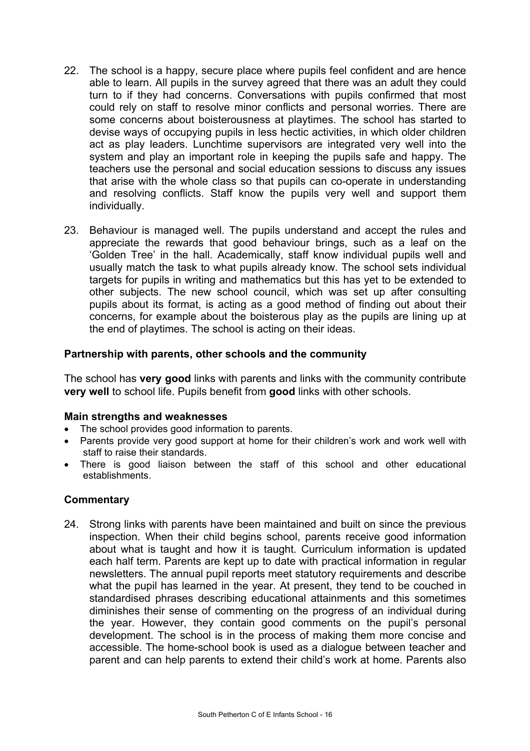- 22. The school is a happy, secure place where pupils feel confident and are hence able to learn. All pupils in the survey agreed that there was an adult they could turn to if they had concerns. Conversations with pupils confirmed that most could rely on staff to resolve minor conflicts and personal worries. There are some concerns about boisterousness at playtimes. The school has started to devise ways of occupying pupils in less hectic activities, in which older children act as play leaders. Lunchtime supervisors are integrated very well into the system and play an important role in keeping the pupils safe and happy. The teachers use the personal and social education sessions to discuss any issues that arise with the whole class so that pupils can co-operate in understanding and resolving conflicts. Staff know the pupils very well and support them individually.
- 23. Behaviour is managed well. The pupils understand and accept the rules and appreciate the rewards that good behaviour brings, such as a leaf on the 'Golden Tree' in the hall. Academically, staff know individual pupils well and usually match the task to what pupils already know. The school sets individual targets for pupils in writing and mathematics but this has yet to be extended to other subjects. The new school council, which was set up after consulting pupils about its format, is acting as a good method of finding out about their concerns, for example about the boisterous play as the pupils are lining up at the end of playtimes. The school is acting on their ideas.

## **Partnership with parents, other schools and the community**

The school has **very good** links with parents and links with the community contribute **very well** to school life. Pupils benefit from **good** links with other schools.

#### **Main strengths and weaknesses**

- The school provides good information to parents.
- Parents provide very good support at home for their children's work and work well with staff to raise their standards.
- There is good liaison between the staff of this school and other educational establishments.

## **Commentary**

24. Strong links with parents have been maintained and built on since the previous inspection. When their child begins school, parents receive good information about what is taught and how it is taught. Curriculum information is updated each half term. Parents are kept up to date with practical information in regular newsletters. The annual pupil reports meet statutory requirements and describe what the pupil has learned in the year. At present, they tend to be couched in standardised phrases describing educational attainments and this sometimes diminishes their sense of commenting on the progress of an individual during the year. However, they contain good comments on the pupil's personal development. The school is in the process of making them more concise and accessible. The home-school book is used as a dialogue between teacher and parent and can help parents to extend their child's work at home. Parents also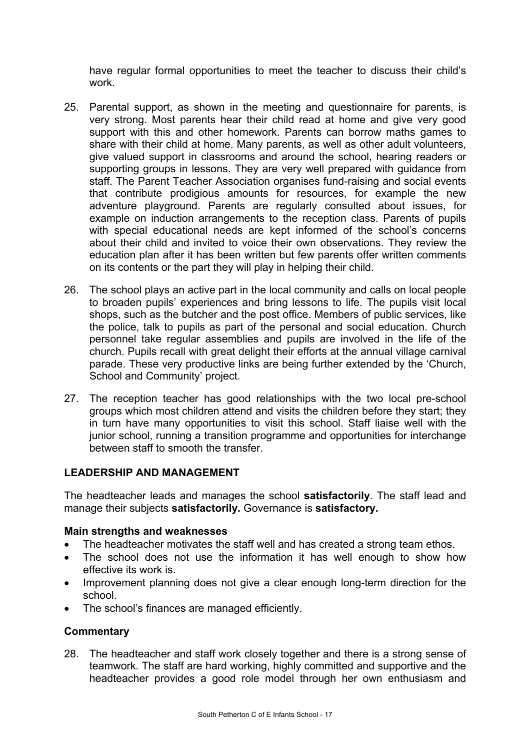have regular formal opportunities to meet the teacher to discuss their child's work.

- 25. Parental support, as shown in the meeting and questionnaire for parents, is very strong. Most parents hear their child read at home and give very good support with this and other homework. Parents can borrow maths games to share with their child at home. Many parents, as well as other adult volunteers, give valued support in classrooms and around the school, hearing readers or supporting groups in lessons. They are very well prepared with guidance from staff. The Parent Teacher Association organises fund-raising and social events that contribute prodigious amounts for resources, for example the new adventure playground. Parents are regularly consulted about issues, for example on induction arrangements to the reception class. Parents of pupils with special educational needs are kept informed of the school's concerns about their child and invited to voice their own observations. They review the education plan after it has been written but few parents offer written comments on its contents or the part they will play in helping their child.
- 26. The school plays an active part in the local community and calls on local people to broaden pupils' experiences and bring lessons to life. The pupils visit local shops, such as the butcher and the post office. Members of public services, like the police, talk to pupils as part of the personal and social education. Church personnel take regular assemblies and pupils are involved in the life of the church. Pupils recall with great delight their efforts at the annual village carnival parade. These very productive links are being further extended by the 'Church, School and Community' project.
- 27. The reception teacher has good relationships with the two local pre-school groups which most children attend and visits the children before they start; they in turn have many opportunities to visit this school. Staff liaise well with the junior school, running a transition programme and opportunities for interchange between staff to smooth the transfer.

## **LEADERSHIP AND MANAGEMENT**

The headteacher leads and manages the school **satisfactorily**. The staff lead and manage their subjects **satisfactorily.** Governance is **satisfactory.**

## **Main strengths and weaknesses**

- The headteacher motivates the staff well and has created a strong team ethos.
- The school does not use the information it has well enough to show how effective its work is.
- Improvement planning does not give a clear enough long-term direction for the school.
- The school's finances are managed efficiently.

## **Commentary**

28. The headteacher and staff work closely together and there is a strong sense of teamwork. The staff are hard working, highly committed and supportive and the headteacher provides a good role model through her own enthusiasm and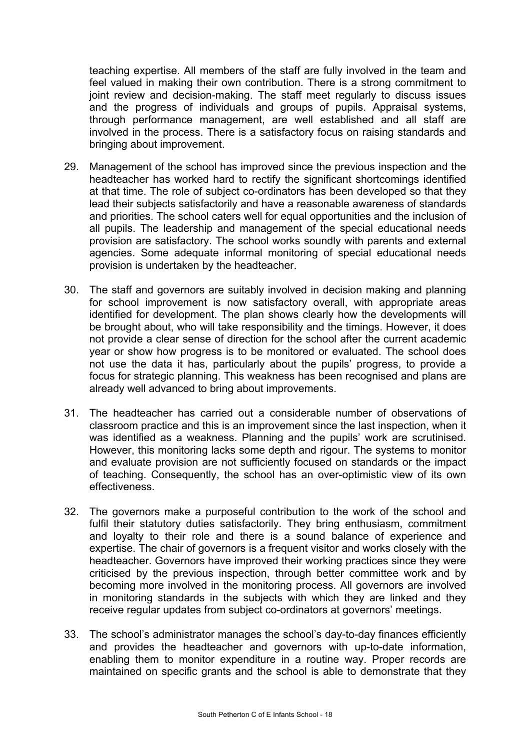teaching expertise. All members of the staff are fully involved in the team and feel valued in making their own contribution. There is a strong commitment to joint review and decision-making. The staff meet regularly to discuss issues and the progress of individuals and groups of pupils. Appraisal systems, through performance management, are well established and all staff are involved in the process. There is a satisfactory focus on raising standards and bringing about improvement.

- 29. Management of the school has improved since the previous inspection and the headteacher has worked hard to rectify the significant shortcomings identified at that time. The role of subject co-ordinators has been developed so that they lead their subjects satisfactorily and have a reasonable awareness of standards and priorities. The school caters well for equal opportunities and the inclusion of all pupils. The leadership and management of the special educational needs provision are satisfactory. The school works soundly with parents and external agencies. Some adequate informal monitoring of special educational needs provision is undertaken by the headteacher.
- 30. The staff and governors are suitably involved in decision making and planning for school improvement is now satisfactory overall, with appropriate areas identified for development. The plan shows clearly how the developments will be brought about, who will take responsibility and the timings. However, it does not provide a clear sense of direction for the school after the current academic year or show how progress is to be monitored or evaluated. The school does not use the data it has, particularly about the pupils' progress, to provide a focus for strategic planning. This weakness has been recognised and plans are already well advanced to bring about improvements.
- 31. The headteacher has carried out a considerable number of observations of classroom practice and this is an improvement since the last inspection, when it was identified as a weakness. Planning and the pupils' work are scrutinised. However, this monitoring lacks some depth and rigour. The systems to monitor and evaluate provision are not sufficiently focused on standards or the impact of teaching. Consequently, the school has an over-optimistic view of its own effectiveness.
- 32. The governors make a purposeful contribution to the work of the school and fulfil their statutory duties satisfactorily. They bring enthusiasm, commitment and loyalty to their role and there is a sound balance of experience and expertise. The chair of governors is a frequent visitor and works closely with the headteacher. Governors have improved their working practices since they were criticised by the previous inspection, through better committee work and by becoming more involved in the monitoring process. All governors are involved in monitoring standards in the subjects with which they are linked and they receive regular updates from subject co-ordinators at governors' meetings.
- 33. The school's administrator manages the school's day-to-day finances efficiently and provides the headteacher and governors with up-to-date information, enabling them to monitor expenditure in a routine way. Proper records are maintained on specific grants and the school is able to demonstrate that they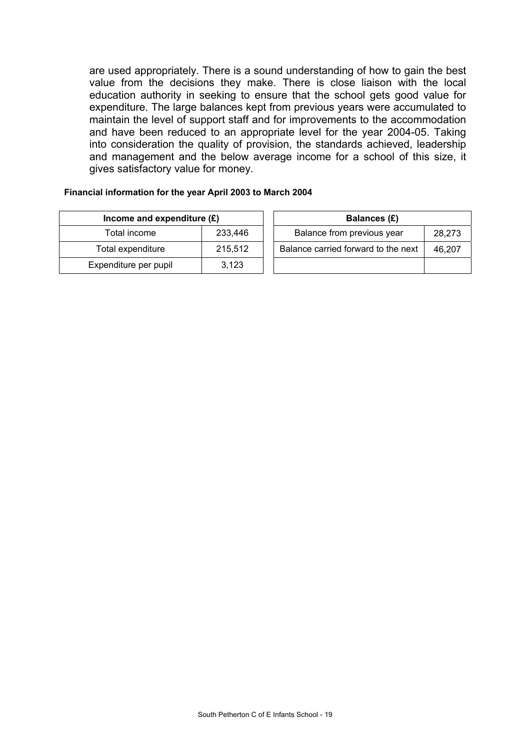are used appropriately. There is a sound understanding of how to gain the best value from the decisions they make. There is close liaison with the local education authority in seeking to ensure that the school gets good value for expenditure. The large balances kept from previous years were accumulated to maintain the level of support staff and for improvements to the accommodation and have been reduced to an appropriate level for the year 2004-05. Taking into consideration the quality of provision, the standards achieved, leadership and management and the below average income for a school of this size, it gives satisfactory value for money.

#### **Financial information for the year April 2003 to March 2004**

| Income and expenditure $(E)$ |         |  | Balances (£)                   |
|------------------------------|---------|--|--------------------------------|
| Total income                 | 233,446 |  | Balance from previous year     |
| Total expenditure            | 215,512 |  | Balance carried forward to the |
| Expenditure per pupil        | 3,123   |  |                                |

| Income and expenditure $(E)$ |         | Balances (£) |                                     |        |
|------------------------------|---------|--------------|-------------------------------------|--------|
| Total income                 | 233,446 |              | Balance from previous year          | 28,273 |
| Total expenditure            | 215.512 |              | Balance carried forward to the next | 46,207 |
| xpenditure per pupil         | 3.123   |              |                                     |        |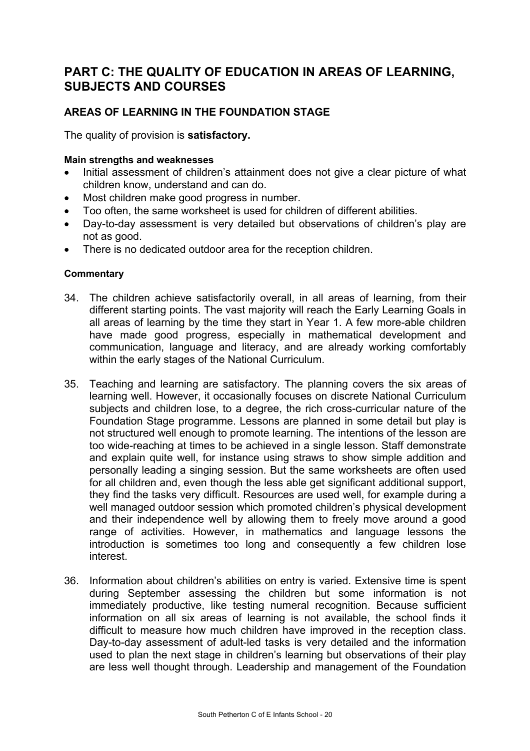# **PART C: THE QUALITY OF EDUCATION IN AREAS OF LEARNING, SUBJECTS AND COURSES**

# **AREAS OF LEARNING IN THE FOUNDATION STAGE**

The quality of provision is **satisfactory.**

#### **Main strengths and weaknesses**

- Initial assessment of children's attainment does not give a clear picture of what children know, understand and can do.
- Most children make good progress in number.
- Too often, the same worksheet is used for children of different abilities.
- Day-to-day assessment is very detailed but observations of children's play are not as good.
- There is no dedicated outdoor area for the reception children.

- 34. The children achieve satisfactorily overall, in all areas of learning, from their different starting points. The vast majority will reach the Early Learning Goals in all areas of learning by the time they start in Year 1. A few more-able children have made good progress, especially in mathematical development and communication, language and literacy, and are already working comfortably within the early stages of the National Curriculum.
- 35. Teaching and learning are satisfactory. The planning covers the six areas of learning well. However, it occasionally focuses on discrete National Curriculum subjects and children lose, to a degree, the rich cross-curricular nature of the Foundation Stage programme. Lessons are planned in some detail but play is not structured well enough to promote learning. The intentions of the lesson are too wide-reaching at times to be achieved in a single lesson. Staff demonstrate and explain quite well, for instance using straws to show simple addition and personally leading a singing session. But the same worksheets are often used for all children and, even though the less able get significant additional support, they find the tasks very difficult. Resources are used well, for example during a well managed outdoor session which promoted children's physical development and their independence well by allowing them to freely move around a good range of activities. However, in mathematics and language lessons the introduction is sometimes too long and consequently a few children lose interest.
- 36. Information about children's abilities on entry is varied. Extensive time is spent during September assessing the children but some information is not immediately productive, like testing numeral recognition. Because sufficient information on all six areas of learning is not available, the school finds it difficult to measure how much children have improved in the reception class. Day-to-day assessment of adult-led tasks is very detailed and the information used to plan the next stage in children's learning but observations of their play are less well thought through. Leadership and management of the Foundation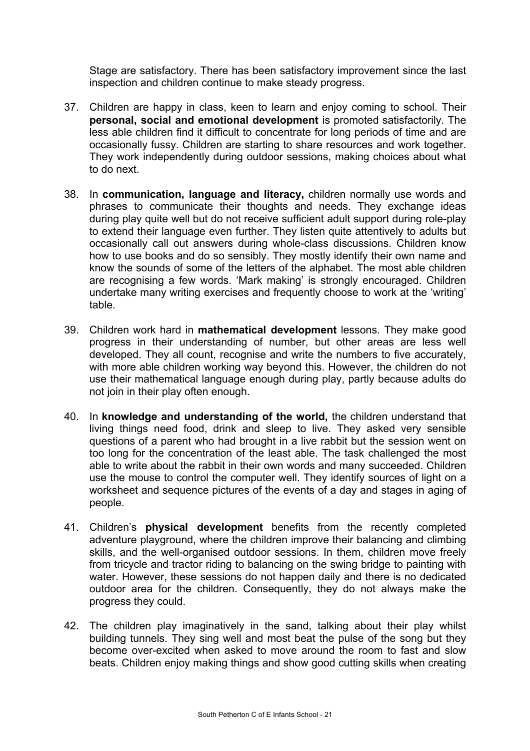Stage are satisfactory. There has been satisfactory improvement since the last inspection and children continue to make steady progress.

- 37. Children are happy in class, keen to learn and enjoy coming to school. Their **personal, social and emotional development** is promoted satisfactorily. The less able children find it difficult to concentrate for long periods of time and are occasionally fussy. Children are starting to share resources and work together. They work independently during outdoor sessions, making choices about what to do next.
- 38. In **communication, language and literacy,** children normally use words and phrases to communicate their thoughts and needs. They exchange ideas during play quite well but do not receive sufficient adult support during role-play to extend their language even further. They listen quite attentively to adults but occasionally call out answers during whole-class discussions. Children know how to use books and do so sensibly. They mostly identify their own name and know the sounds of some of the letters of the alphabet. The most able children are recognising a few words. 'Mark making' is strongly encouraged. Children undertake many writing exercises and frequently choose to work at the 'writing' table.
- 39. Children work hard in **mathematical development** lessons. They make good progress in their understanding of number, but other areas are less well developed. They all count, recognise and write the numbers to five accurately, with more able children working way beyond this. However, the children do not use their mathematical language enough during play, partly because adults do not join in their play often enough.
- 40. In **knowledge and understanding of the world,** the children understand that living things need food, drink and sleep to live. They asked very sensible questions of a parent who had brought in a live rabbit but the session went on too long for the concentration of the least able. The task challenged the most able to write about the rabbit in their own words and many succeeded. Children use the mouse to control the computer well. They identify sources of light on a worksheet and sequence pictures of the events of a day and stages in aging of people.
- 41. Children's **physical development** benefits from the recently completed adventure playground, where the children improve their balancing and climbing skills, and the well-organised outdoor sessions. In them, children move freely from tricycle and tractor riding to balancing on the swing bridge to painting with water. However, these sessions do not happen daily and there is no dedicated outdoor area for the children. Consequently, they do not always make the progress they could.
- 42. The children play imaginatively in the sand, talking about their play whilst building tunnels. They sing well and most beat the pulse of the song but they become over-excited when asked to move around the room to fast and slow beats. Children enjoy making things and show good cutting skills when creating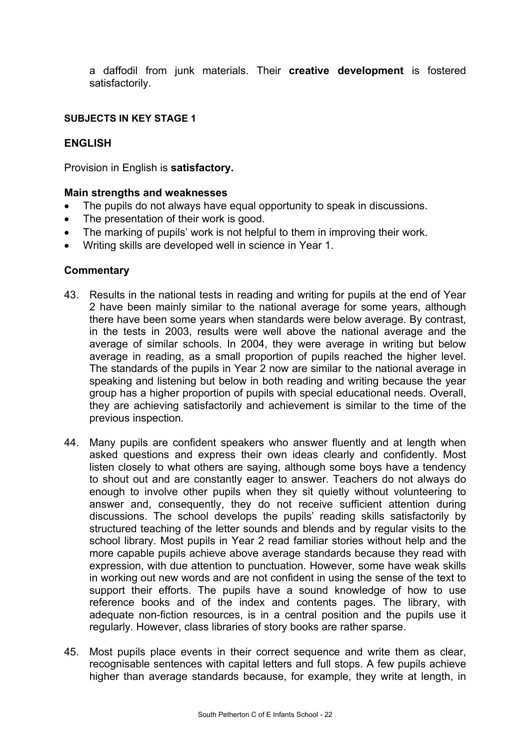a daffodil from junk materials. Their **creative development** is fostered satisfactorily.

#### **SUBJECTS IN KEY STAGE 1**

### **ENGLISH**

Provision in English is **satisfactory.** 

#### **Main strengths and weaknesses**

- The pupils do not always have equal opportunity to speak in discussions.
- The presentation of their work is good.
- The marking of pupils' work is not helpful to them in improving their work.
- Writing skills are developed well in science in Year 1.

- 43. Results in the national tests in reading and writing for pupils at the end of Year 2 have been mainly similar to the national average for some years, although there have been some years when standards were below average. By contrast, in the tests in 2003, results were well above the national average and the average of similar schools. In 2004, they were average in writing but below average in reading, as a small proportion of pupils reached the higher level. The standards of the pupils in Year 2 now are similar to the national average in speaking and listening but below in both reading and writing because the year group has a higher proportion of pupils with special educational needs. Overall, they are achieving satisfactorily and achievement is similar to the time of the previous inspection.
- 44. Many pupils are confident speakers who answer fluently and at length when asked questions and express their own ideas clearly and confidently. Most listen closely to what others are saying, although some boys have a tendency to shout out and are constantly eager to answer. Teachers do not always do enough to involve other pupils when they sit quietly without volunteering to answer and, consequently, they do not receive sufficient attention during discussions. The school develops the pupils' reading skills satisfactorily by structured teaching of the letter sounds and blends and by regular visits to the school library. Most pupils in Year 2 read familiar stories without help and the more capable pupils achieve above average standards because they read with expression, with due attention to punctuation. However, some have weak skills in working out new words and are not confident in using the sense of the text to support their efforts. The pupils have a sound knowledge of how to use reference books and of the index and contents pages. The library, with adequate non-fiction resources, is in a central position and the pupils use it regularly. However, class libraries of story books are rather sparse.
- 45. Most pupils place events in their correct sequence and write them as clear, recognisable sentences with capital letters and full stops. A few pupils achieve higher than average standards because, for example, they write at length, in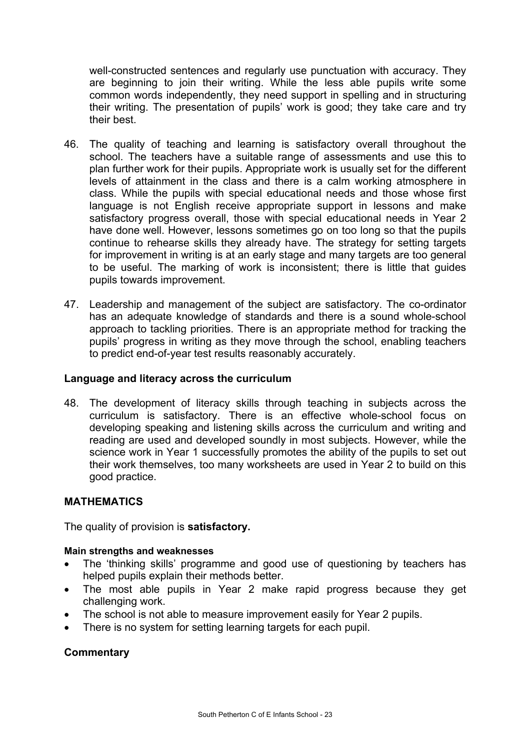well-constructed sentences and regularly use punctuation with accuracy. They are beginning to join their writing. While the less able pupils write some common words independently, they need support in spelling and in structuring their writing. The presentation of pupils' work is good; they take care and try their best.

- 46. The quality of teaching and learning is satisfactory overall throughout the school. The teachers have a suitable range of assessments and use this to plan further work for their pupils. Appropriate work is usually set for the different levels of attainment in the class and there is a calm working atmosphere in class. While the pupils with special educational needs and those whose first language is not English receive appropriate support in lessons and make satisfactory progress overall, those with special educational needs in Year 2 have done well. However, lessons sometimes go on too long so that the pupils continue to rehearse skills they already have. The strategy for setting targets for improvement in writing is at an early stage and many targets are too general to be useful. The marking of work is inconsistent; there is little that guides pupils towards improvement.
- 47. Leadership and management of the subject are satisfactory. The co-ordinator has an adequate knowledge of standards and there is a sound whole-school approach to tackling priorities. There is an appropriate method for tracking the pupils' progress in writing as they move through the school, enabling teachers to predict end-of-year test results reasonably accurately.

### **Language and literacy across the curriculum**

48. The development of literacy skills through teaching in subjects across the curriculum is satisfactory. There is an effective whole-school focus on developing speaking and listening skills across the curriculum and writing and reading are used and developed soundly in most subjects. However, while the science work in Year 1 successfully promotes the ability of the pupils to set out their work themselves, too many worksheets are used in Year 2 to build on this good practice.

## **MATHEMATICS**

The quality of provision is **satisfactory.** 

#### **Main strengths and weaknesses**

- The 'thinking skills' programme and good use of questioning by teachers has helped pupils explain their methods better.
- The most able pupils in Year 2 make rapid progress because they get challenging work.
- The school is not able to measure improvement easily for Year 2 pupils.
- There is no system for setting learning targets for each pupil.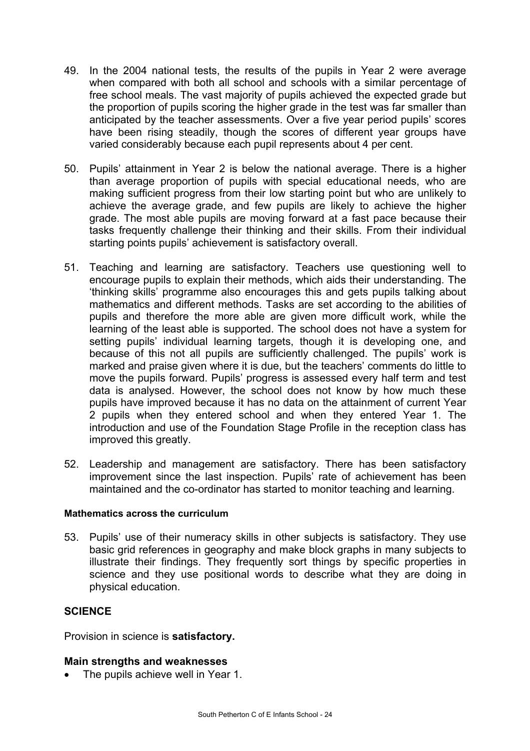- 49. In the 2004 national tests, the results of the pupils in Year 2 were average when compared with both all school and schools with a similar percentage of free school meals. The vast majority of pupils achieved the expected grade but the proportion of pupils scoring the higher grade in the test was far smaller than anticipated by the teacher assessments. Over a five year period pupils' scores have been rising steadily, though the scores of different year groups have varied considerably because each pupil represents about 4 per cent.
- 50. Pupils' attainment in Year 2 is below the national average. There is a higher than average proportion of pupils with special educational needs, who are making sufficient progress from their low starting point but who are unlikely to achieve the average grade, and few pupils are likely to achieve the higher grade. The most able pupils are moving forward at a fast pace because their tasks frequently challenge their thinking and their skills. From their individual starting points pupils' achievement is satisfactory overall.
- 51. Teaching and learning are satisfactory. Teachers use questioning well to encourage pupils to explain their methods, which aids their understanding. The 'thinking skills' programme also encourages this and gets pupils talking about mathematics and different methods. Tasks are set according to the abilities of pupils and therefore the more able are given more difficult work, while the learning of the least able is supported. The school does not have a system for setting pupils' individual learning targets, though it is developing one, and because of this not all pupils are sufficiently challenged. The pupils' work is marked and praise given where it is due, but the teachers' comments do little to move the pupils forward. Pupils' progress is assessed every half term and test data is analysed. However, the school does not know by how much these pupils have improved because it has no data on the attainment of current Year 2 pupils when they entered school and when they entered Year 1. The introduction and use of the Foundation Stage Profile in the reception class has improved this greatly.
- 52. Leadership and management are satisfactory. There has been satisfactory improvement since the last inspection. Pupils' rate of achievement has been maintained and the co-ordinator has started to monitor teaching and learning.

#### **Mathematics across the curriculum**

53. Pupils' use of their numeracy skills in other subjects is satisfactory. They use basic grid references in geography and make block graphs in many subjects to illustrate their findings. They frequently sort things by specific properties in science and they use positional words to describe what they are doing in physical education.

## **SCIENCE**

Provision in science is **satisfactory.** 

#### **Main strengths and weaknesses**

• The pupils achieve well in Year 1.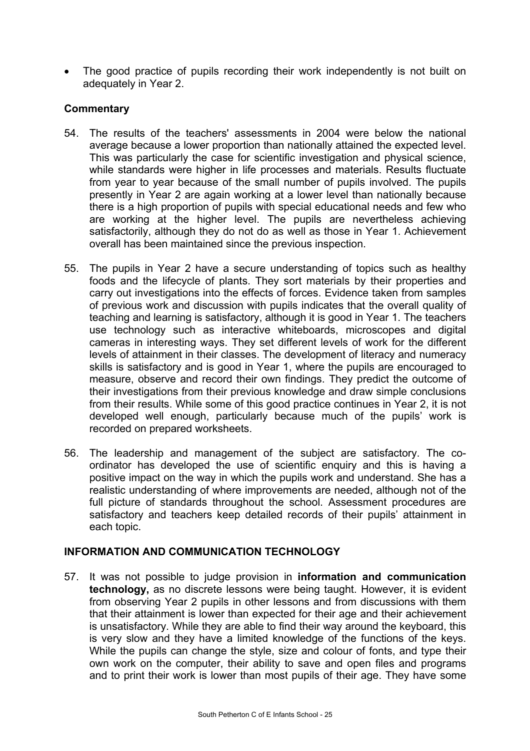• The good practice of pupils recording their work independently is not built on adequately in Year 2.

# **Commentary**

- 54. The results of the teachers' assessments in 2004 were below the national average because a lower proportion than nationally attained the expected level. This was particularly the case for scientific investigation and physical science, while standards were higher in life processes and materials. Results fluctuate from year to year because of the small number of pupils involved. The pupils presently in Year 2 are again working at a lower level than nationally because there is a high proportion of pupils with special educational needs and few who are working at the higher level. The pupils are nevertheless achieving satisfactorily, although they do not do as well as those in Year 1. Achievement overall has been maintained since the previous inspection.
- 55. The pupils in Year 2 have a secure understanding of topics such as healthy foods and the lifecycle of plants. They sort materials by their properties and carry out investigations into the effects of forces. Evidence taken from samples of previous work and discussion with pupils indicates that the overall quality of teaching and learning is satisfactory, although it is good in Year 1. The teachers use technology such as interactive whiteboards, microscopes and digital cameras in interesting ways. They set different levels of work for the different levels of attainment in their classes. The development of literacy and numeracy skills is satisfactory and is good in Year 1, where the pupils are encouraged to measure, observe and record their own findings. They predict the outcome of their investigations from their previous knowledge and draw simple conclusions from their results. While some of this good practice continues in Year 2, it is not developed well enough, particularly because much of the pupils' work is recorded on prepared worksheets.
- 56. The leadership and management of the subject are satisfactory. The coordinator has developed the use of scientific enquiry and this is having a positive impact on the way in which the pupils work and understand. She has a realistic understanding of where improvements are needed, although not of the full picture of standards throughout the school. Assessment procedures are satisfactory and teachers keep detailed records of their pupils' attainment in each topic.

## **INFORMATION AND COMMUNICATION TECHNOLOGY**

57. It was not possible to judge provision in **information and communication technology,** as no discrete lessons were being taught. However, it is evident from observing Year 2 pupils in other lessons and from discussions with them that their attainment is lower than expected for their age and their achievement is unsatisfactory. While they are able to find their way around the keyboard, this is very slow and they have a limited knowledge of the functions of the keys. While the pupils can change the style, size and colour of fonts, and type their own work on the computer, their ability to save and open files and programs and to print their work is lower than most pupils of their age. They have some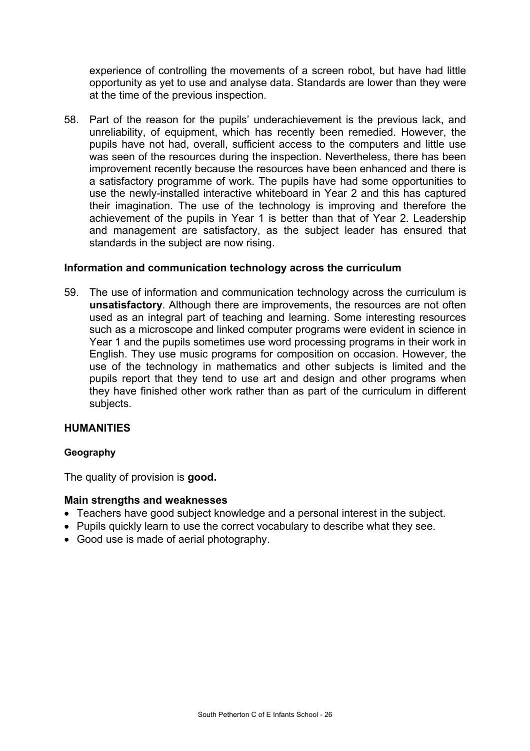experience of controlling the movements of a screen robot, but have had little opportunity as yet to use and analyse data. Standards are lower than they were at the time of the previous inspection.

58. Part of the reason for the pupils' underachievement is the previous lack, and unreliability, of equipment, which has recently been remedied. However, the pupils have not had, overall, sufficient access to the computers and little use was seen of the resources during the inspection. Nevertheless, there has been improvement recently because the resources have been enhanced and there is a satisfactory programme of work. The pupils have had some opportunities to use the newly-installed interactive whiteboard in Year 2 and this has captured their imagination. The use of the technology is improving and therefore the achievement of the pupils in Year 1 is better than that of Year 2. Leadership and management are satisfactory, as the subject leader has ensured that standards in the subject are now rising.

#### **Information and communication technology across the curriculum**

59. The use of information and communication technology across the curriculum is **unsatisfactory**. Although there are improvements, the resources are not often used as an integral part of teaching and learning. Some interesting resources such as a microscope and linked computer programs were evident in science in Year 1 and the pupils sometimes use word processing programs in their work in English. They use music programs for composition on occasion. However, the use of the technology in mathematics and other subjects is limited and the pupils report that they tend to use art and design and other programs when they have finished other work rather than as part of the curriculum in different subjects.

## **HUMANITIES**

#### **Geography**

The quality of provision is **good.** 

#### **Main strengths and weaknesses**

- Teachers have good subject knowledge and a personal interest in the subject.
- Pupils quickly learn to use the correct vocabulary to describe what they see.
- Good use is made of aerial photography.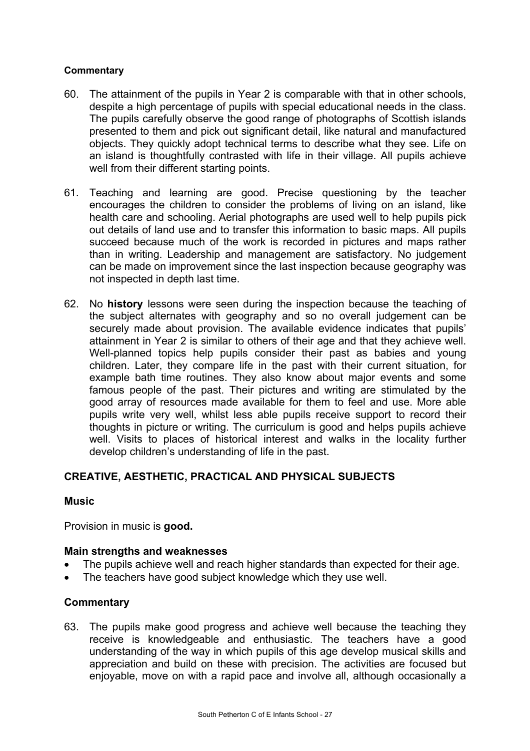#### **Commentary**

- 60. The attainment of the pupils in Year 2 is comparable with that in other schools, despite a high percentage of pupils with special educational needs in the class. The pupils carefully observe the good range of photographs of Scottish islands presented to them and pick out significant detail, like natural and manufactured objects. They quickly adopt technical terms to describe what they see. Life on an island is thoughtfully contrasted with life in their village. All pupils achieve well from their different starting points.
- 61. Teaching and learning are good. Precise questioning by the teacher encourages the children to consider the problems of living on an island, like health care and schooling. Aerial photographs are used well to help pupils pick out details of land use and to transfer this information to basic maps. All pupils succeed because much of the work is recorded in pictures and maps rather than in writing. Leadership and management are satisfactory. No judgement can be made on improvement since the last inspection because geography was not inspected in depth last time.
- 62. No **history** lessons were seen during the inspection because the teaching of the subject alternates with geography and so no overall judgement can be securely made about provision. The available evidence indicates that pupils' attainment in Year 2 is similar to others of their age and that they achieve well. Well-planned topics help pupils consider their past as babies and young children. Later, they compare life in the past with their current situation, for example bath time routines. They also know about major events and some famous people of the past. Their pictures and writing are stimulated by the good array of resources made available for them to feel and use. More able pupils write very well, whilst less able pupils receive support to record their thoughts in picture or writing. The curriculum is good and helps pupils achieve well. Visits to places of historical interest and walks in the locality further develop children's understanding of life in the past.

## **CREATIVE, AESTHETIC, PRACTICAL AND PHYSICAL SUBJECTS**

#### **Music**

Provision in music is **good.** 

## **Main strengths and weaknesses**

- The pupils achieve well and reach higher standards than expected for their age.
- The teachers have good subject knowledge which they use well.

#### **Commentary**

63. The pupils make good progress and achieve well because the teaching they receive is knowledgeable and enthusiastic. The teachers have a good understanding of the way in which pupils of this age develop musical skills and appreciation and build on these with precision. The activities are focused but enjoyable, move on with a rapid pace and involve all, although occasionally a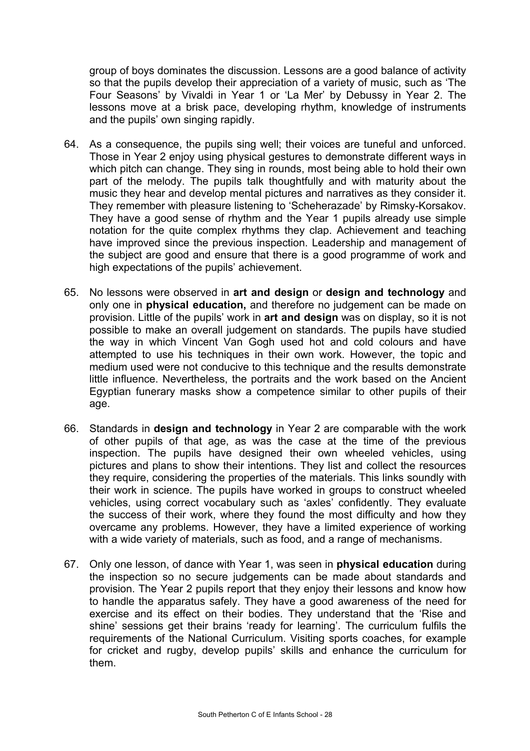group of boys dominates the discussion. Lessons are a good balance of activity so that the pupils develop their appreciation of a variety of music, such as 'The Four Seasons' by Vivaldi in Year 1 or 'La Mer' by Debussy in Year 2. The lessons move at a brisk pace, developing rhythm, knowledge of instruments and the pupils' own singing rapidly.

- 64. As a consequence, the pupils sing well; their voices are tuneful and unforced. Those in Year 2 enjoy using physical gestures to demonstrate different ways in which pitch can change. They sing in rounds, most being able to hold their own part of the melody. The pupils talk thoughtfully and with maturity about the music they hear and develop mental pictures and narratives as they consider it. They remember with pleasure listening to 'Scheherazade' by Rimsky-Korsakov. They have a good sense of rhythm and the Year 1 pupils already use simple notation for the quite complex rhythms they clap. Achievement and teaching have improved since the previous inspection. Leadership and management of the subject are good and ensure that there is a good programme of work and high expectations of the pupils' achievement.
- 65. No lessons were observed in **art and design** or **design and technology** and only one in **physical education,** and therefore no judgement can be made on provision. Little of the pupils' work in **art and design** was on display, so it is not possible to make an overall judgement on standards. The pupils have studied the way in which Vincent Van Gogh used hot and cold colours and have attempted to use his techniques in their own work. However, the topic and medium used were not conducive to this technique and the results demonstrate little influence. Nevertheless, the portraits and the work based on the Ancient Egyptian funerary masks show a competence similar to other pupils of their age.
- 66. Standards in **design and technology** in Year 2 are comparable with the work of other pupils of that age, as was the case at the time of the previous inspection. The pupils have designed their own wheeled vehicles, using pictures and plans to show their intentions. They list and collect the resources they require, considering the properties of the materials. This links soundly with their work in science. The pupils have worked in groups to construct wheeled vehicles, using correct vocabulary such as 'axles' confidently. They evaluate the success of their work, where they found the most difficulty and how they overcame any problems. However, they have a limited experience of working with a wide variety of materials, such as food, and a range of mechanisms.
- 67. Only one lesson, of dance with Year 1, was seen in **physical education** during the inspection so no secure judgements can be made about standards and provision. The Year 2 pupils report that they enjoy their lessons and know how to handle the apparatus safely. They have a good awareness of the need for exercise and its effect on their bodies. They understand that the 'Rise and shine' sessions get their brains 'ready for learning'. The curriculum fulfils the requirements of the National Curriculum. Visiting sports coaches, for example for cricket and rugby, develop pupils' skills and enhance the curriculum for them.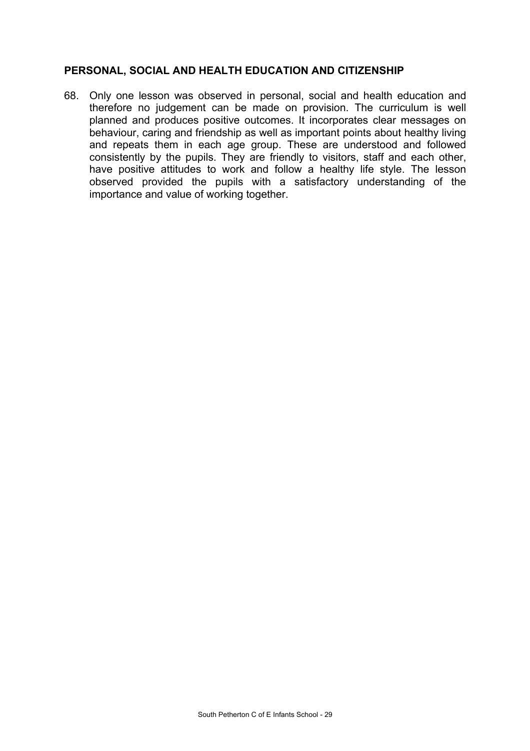### **PERSONAL, SOCIAL AND HEALTH EDUCATION AND CITIZENSHIP**

68. Only one lesson was observed in personal, social and health education and therefore no judgement can be made on provision. The curriculum is well planned and produces positive outcomes. It incorporates clear messages on behaviour, caring and friendship as well as important points about healthy living and repeats them in each age group. These are understood and followed consistently by the pupils. They are friendly to visitors, staff and each other, have positive attitudes to work and follow a healthy life style. The lesson observed provided the pupils with a satisfactory understanding of the importance and value of working together.